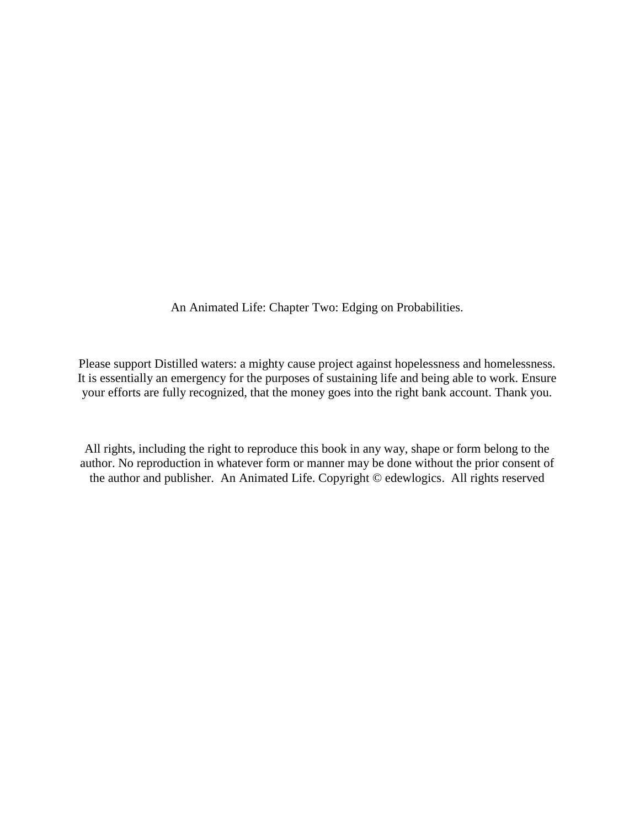An Animated Life: Chapter Two: Edging on Probabilities.

Please support Distilled waters: a mighty cause project against hopelessness and homelessness. It is essentially an emergency for the purposes of sustaining life and being able to work. Ensure your efforts are fully recognized, that the money goes into the right bank account. Thank you.

All rights, including the right to reproduce this book in any way, shape or form belong to the author. No reproduction in whatever form or manner may be done without the prior consent of the author and publisher. An Animated Life. Copyright © edewlogics. All rights reserved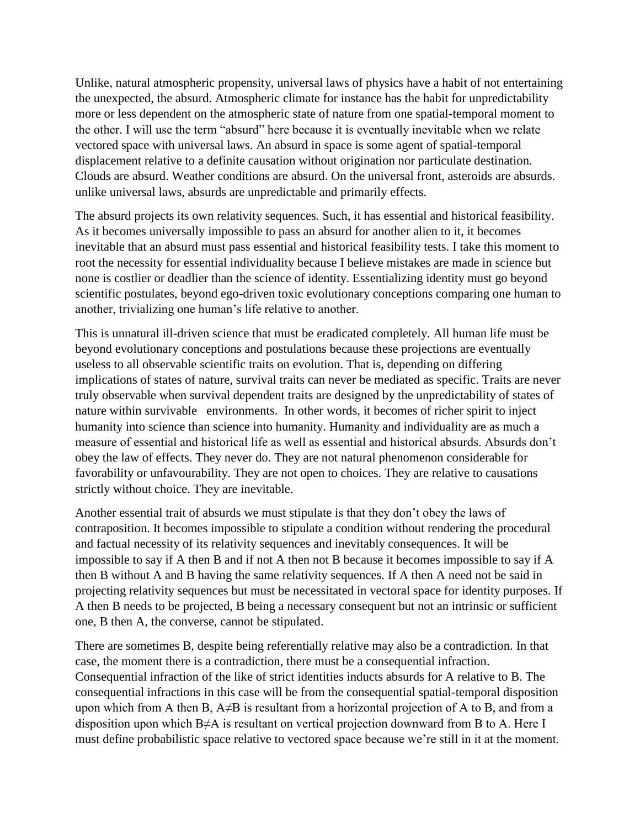Unlike, natural atmospheric propensity, universal laws of physics have a habit of not entertaining the unexpected, the absurd. Atmospheric climate for instance has the habit for unpredictability more or less dependent on the atmospheric state of nature from one spatial-temporal moment to the other. I will use the term "absurd" here because it is eventually inevitable when we relate vectored space with universal laws. An absurd in space is some agent of spatial-temporal displacement relative to a definite causation without origination nor particulate destination. Clouds are absurd. Weather conditions are absurd. On the universal front, asteroids are absurds. unlike universal laws, absurds are unpredictable and primarily effects.

The absurd projects its own relativity sequences. Such, it has essential and historical feasibility. As it becomes universally impossible to pass an absurd for another alien to it, it becomes inevitable that an absurd must pass essential and historical feasibility tests. I take this moment to root the necessity for essential individuality because I believe mistakes are made in science but none is costlier or deadlier than the science of identity. Essentializing identity must go beyond scientific postulates, beyond ego-driven toxic evolutionary conceptions comparing one human to another, trivializing one human's life relative to another.

This is unnatural ill-driven science that must be eradicated completely. All human life must be beyond evolutionary conceptions and postulations because these projections are eventually useless to all observable scientific traits on evolution. That is, depending on differing implications of states of nature, survival traits can never be mediated as specific. Traits are never truly observable when survival dependent traits are designed by the unpredictability of states of nature within survivable environments. In other words, it becomes of richer spirit to inject humanity into science than science into humanity. Humanity and individuality are as much a measure of essential and historical life as well as essential and historical absurds. Absurds don't obey the law of effects. They never do. They are not natural phenomenon considerable for favorability or unfavourability. They are not open to choices. They are relative to causations strictly without choice. They are inevitable.

Another essential trait of absurds we must stipulate is that they don't obey the laws of contraposition. It becomes impossible to stipulate a condition without rendering the procedural and factual necessity of its relativity sequences and inevitably consequences. It will be impossible to say if A then B and if not A then not B because it becomes impossible to say if A then B without A and B having the same relativity sequences. If A then A need not be said in projecting relativity sequences but must be necessitated in vectoral space for identity purposes. If A then B needs to be projected, B being a necessary consequent but not an intrinsic or sufficient one, B then A, the converse, cannot be stipulated.

There are sometimes B, despite being referentially relative may also be a contradiction. In that case, the moment there is a contradiction, there must be a consequential infraction. Consequential infraction of the like of strict identities inducts absurds for A relative to B. The consequential infractions in this case will be from the consequential spatial-temporal disposition upon which from A then B,  $A\neq B$  is resultant from a horizontal projection of A to B, and from a disposition upon which B≠A is resultant on vertical projection downward from B to A. Here I must define probabilistic space relative to vectored space because we're still in it at the moment.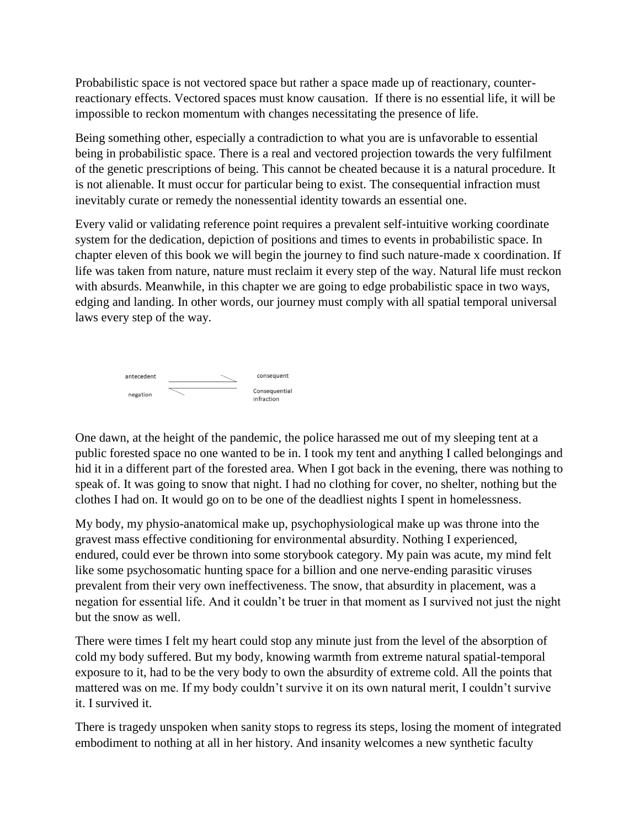Probabilistic space is not vectored space but rather a space made up of reactionary, counterreactionary effects. Vectored spaces must know causation. If there is no essential life, it will be impossible to reckon momentum with changes necessitating the presence of life.

Being something other, especially a contradiction to what you are is unfavorable to essential being in probabilistic space. There is a real and vectored projection towards the very fulfilment of the genetic prescriptions of being. This cannot be cheated because it is a natural procedure. It is not alienable. It must occur for particular being to exist. The consequential infraction must inevitably curate or remedy the nonessential identity towards an essential one.

Every valid or validating reference point requires a prevalent self-intuitive working coordinate system for the dedication, depiction of positions and times to events in probabilistic space. In chapter eleven of this book we will begin the journey to find such nature-made x coordination. If life was taken from nature, nature must reclaim it every step of the way. Natural life must reckon with absurds. Meanwhile, in this chapter we are going to edge probabilistic space in two ways, edging and landing. In other words, our journey must comply with all spatial temporal universal laws every step of the way.



One dawn, at the height of the pandemic, the police harassed me out of my sleeping tent at a public forested space no one wanted to be in. I took my tent and anything I called belongings and hid it in a different part of the forested area. When I got back in the evening, there was nothing to speak of. It was going to snow that night. I had no clothing for cover, no shelter, nothing but the clothes I had on. It would go on to be one of the deadliest nights I spent in homelessness.

My body, my physio-anatomical make up, psychophysiological make up was throne into the gravest mass effective conditioning for environmental absurdity. Nothing I experienced, endured, could ever be thrown into some storybook category. My pain was acute, my mind felt like some psychosomatic hunting space for a billion and one nerve-ending parasitic viruses prevalent from their very own ineffectiveness. The snow, that absurdity in placement, was a negation for essential life. And it couldn't be truer in that moment as I survived not just the night but the snow as well.

There were times I felt my heart could stop any minute just from the level of the absorption of cold my body suffered. But my body, knowing warmth from extreme natural spatial-temporal exposure to it, had to be the very body to own the absurdity of extreme cold. All the points that mattered was on me. If my body couldn't survive it on its own natural merit, I couldn't survive it. I survived it.

There is tragedy unspoken when sanity stops to regress its steps, losing the moment of integrated embodiment to nothing at all in her history. And insanity welcomes a new synthetic faculty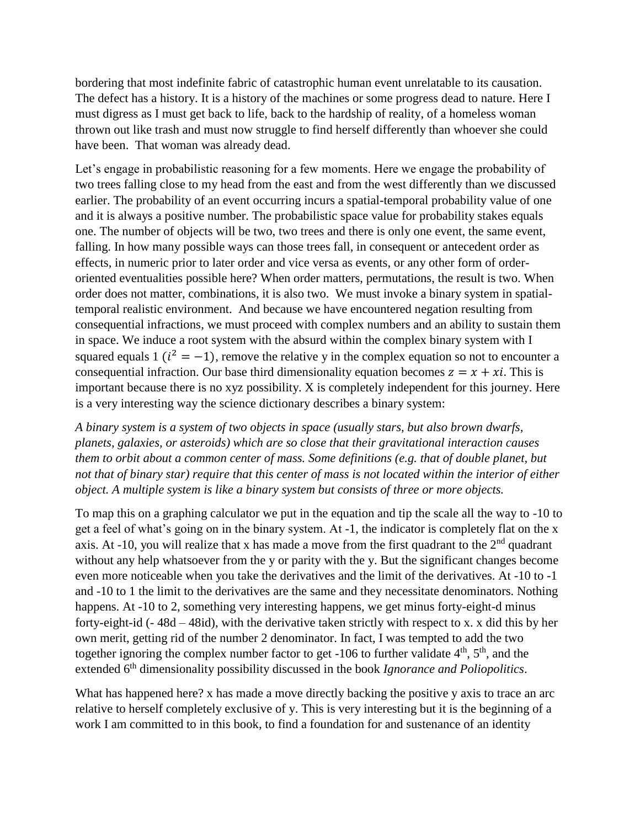bordering that most indefinite fabric of catastrophic human event unrelatable to its causation. The defect has a history. It is a history of the machines or some progress dead to nature. Here I must digress as I must get back to life, back to the hardship of reality, of a homeless woman thrown out like trash and must now struggle to find herself differently than whoever she could have been. That woman was already dead.

Let's engage in probabilistic reasoning for a few moments. Here we engage the probability of two trees falling close to my head from the east and from the west differently than we discussed earlier. The probability of an event occurring incurs a spatial-temporal probability value of one and it is always a positive number. The probabilistic space value for probability stakes equals one. The number of objects will be two, two trees and there is only one event, the same event, falling. In how many possible ways can those trees fall, in consequent or antecedent order as effects, in numeric prior to later order and vice versa as events, or any other form of orderoriented eventualities possible here? When order matters, permutations, the result is two. When order does not matter, combinations, it is also two. We must invoke a binary system in spatialtemporal realistic environment. And because we have encountered negation resulting from consequential infractions, we must proceed with complex numbers and an ability to sustain them in space. We induce a root system with the absurd within the complex binary system with I squared equals 1 ( $i^2 = -1$ ), remove the relative y in the complex equation so not to encounter a consequential infraction. Our base third dimensionality equation becomes  $z = x + xi$ . This is important because there is no xyz possibility. X is completely independent for this journey. Here is a very interesting way the science dictionary describes a binary system:

*A binary system is a system of two objects in space (usually stars, but also brown dwarfs, planets, galaxies, or asteroids) which are so close that their gravitational interaction causes them to orbit about a common center of mass. Some definitions (e.g. that of double planet, but not that of binary star) require that this center of mass is not located within the interior of either object. A multiple system is like a binary system but consists of three or more objects.*

To map this on a graphing calculator we put in the equation and tip the scale all the way to -10 to get a feel of what's going on in the binary system. At -1, the indicator is completely flat on the x axis. At -10, you will realize that x has made a move from the first quadrant to the  $2<sup>nd</sup>$  quadrant without any help whatsoever from the y or parity with the y. But the significant changes become even more noticeable when you take the derivatives and the limit of the derivatives. At -10 to -1 and -10 to 1 the limit to the derivatives are the same and they necessitate denominators. Nothing happens. At -10 to 2, something very interesting happens, we get minus forty-eight-d minus forty-eight-id (- 48d – 48id), with the derivative taken strictly with respect to x. x did this by her own merit, getting rid of the number 2 denominator. In fact, I was tempted to add the two together ignoring the complex number factor to get  $-106$  to further validate  $4<sup>th</sup>$ ,  $5<sup>th</sup>$ , and the extended 6<sup>th</sup> dimensionality possibility discussed in the book *Ignorance and Poliopolitics*.

What has happened here? x has made a move directly backing the positive y axis to trace an arc relative to herself completely exclusive of y. This is very interesting but it is the beginning of a work I am committed to in this book, to find a foundation for and sustenance of an identity